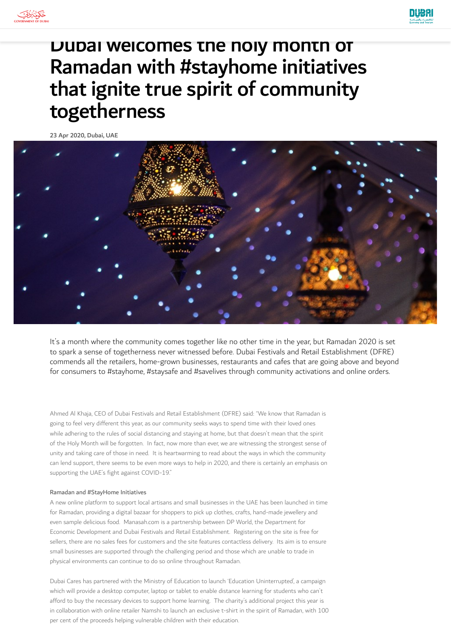



## Dubai welcomes the holy month of Ramadan with #stayhome initiatives that ignite true spirit of community togetherness

23 Apr 2020, Dubai, UAE



It's a month where the community comes together like no other time in the year, but Ramadan 2020 is set to spark a sense of togetherness never witnessed before. Dubai Festivals and Retail Establishment (DFRE) commends all the retailers, home-grown businesses, restaurants and cafes that are going above and beyond for consumers to #stayhome, #staysafe and #savelives through community activations and online orders.

Ahmed Al Khaja, CEO of Dubai Festivals and Retail Establishment (DFRE) said: "We know that Ramadan is going to feel very different this year, as our community seeks ways to spend time with their loved ones while adhering to the rules of social distancing and staying at home, but that doesn't mean that the spirit of the Holy Month will be forgotten. In fact, now more than ever, we are witnessing the strongest sense of unity and taking care of those in need. It is heartwarming to read about the ways in which the community can lend support, there seems to be even more ways to help in 2020, and there is certainly an emphasis on supporting the UAE's fight against COVID-19."

## Ramadan and #StayHome Initiatives

A new online platform to support local artisans and small businesses in the UAE has been launched in time for Ramadan, providing a digital bazaar for shoppers to pick up clothes, crafts, hand-made jewellery and even sample delicious food. Manasah.com is a partnership between DP World, the Department for Economic Development and Dubai Festivals and Retail Establishment. Registering on the site is free for sellers, there are no sales fees for customers and the site features contactless delivery. Its aim is to ensure small businesses are supported through the challenging period and those which are unable to trade in physical environments can continue to do so online throughout Ramadan.

Dubai Cares has partnered with the Ministry of Education to launch 'Education Uninterrupted', a campaign which will provide a desktop computer, laptop or tablet to enable distance learning for students who can't afford to buy the necessary devices to support home learning. The charity's additional project this year is in collaboration with online retailer Namshi to launch an exclusive t-shirt in the spirit of Ramadan, with 100 per cent of the proceeds helping vulnerable children with their education.